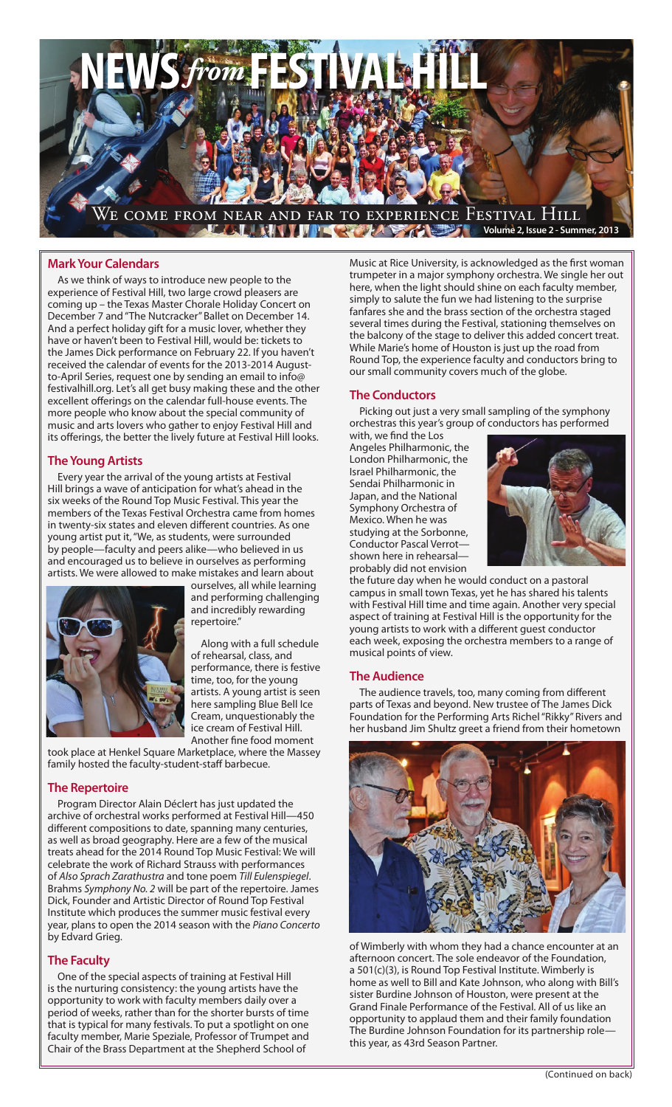

## **Mark Your Calendars**

As we think of ways to introduce new people to the experience of Festival Hill, two large crowd pleasers are coming up – the Texas Master Chorale Holiday Concert on December 7 and "The Nutcracker" Ballet on December 14. And a perfect holiday gift for a music lover, whether they have or haven't been to Festival Hill, would be: tickets to the James Dick performance on February 22. If you haven't received the calendar of events for the 2013-2014 Augustto-April Series, request one by sending an email to info@ festivalhill.org. Let's all get busy making these and the other excellent offerings on the calendar full-house events. The more people who know about the special community of music and arts lovers who gather to enjoy Festival Hill and its offerings, the better the lively future at Festival Hill looks.

#### **The Young Artists**

Every year the arrival of the young artists at Festival Hill brings a wave of anticipation for what's ahead in the six weeks of the Round Top Music Festival. This year the members of the Texas Festival Orchestra came from homes in twenty-six states and eleven different countries. As one young artist put it, "We, as students, were surrounded by people—faculty and peers alike—who believed in us and encouraged us to believe in ourselves as performing artists. We were allowed to make mistakes and learn about



ourselves, all while learning and performing challenging and incredibly rewarding repertoire."

Along with a full schedule of rehearsal, class, and performance, there is festive time, too, for the young artists. A young artist is seen here sampling Blue Bell Ice Cream, unquestionably the ice cream of Festival Hill. Another fine food moment

took place at Henkel Square Marketplace, where the Massey family hosted the faculty-student-staff barbecue.

#### **The Repertoire**

Program Director Alain Déclert has just updated the archive of orchestral works performed at Festival Hill—450 different compositions to date, spanning many centuries, as well as broad geography. Here are a few of the musical treats ahead for the 2014 Round Top Music Festival: We will celebrate the work of Richard Strauss with performances of *Also Sprach Zarathustra* and tone poem *Till Eulenspiegel*. Brahms *Symphony No. 2* will be part of the repertoire. James Dick, Founder and Artistic Director of Round Top Festival Institute which produces the summer music festival every year, plans to open the 2014 season with the *Piano Concerto*  by Edvard Grieg.

#### **The Faculty**

One of the special aspects of training at Festival Hill is the nurturing consistency: the young artists have the opportunity to work with faculty members daily over a period of weeks, rather than for the shorter bursts of time that is typical for many festivals. To put a spotlight on one faculty member, Marie Speziale, Professor of Trumpet and Chair of the Brass Department at the Shepherd School of

Music at Rice University, is acknowledged as the first woman trumpeter in a major symphony orchestra. We single her out here, when the light should shine on each faculty member, simply to salute the fun we had listening to the surprise fanfares she and the brass section of the orchestra staged several times during the Festival, stationing themselves on the balcony of the stage to deliver this added concert treat. While Marie's home of Houston is just up the road from Round Top, the experience faculty and conductors bring to our small community covers much of the globe.

### **The Conductors**

Picking out just a very small sampling of the symphony orchestras this year's group of conductors has performed

with, we find the Los Angeles Philharmonic, the London Philharmonic, the Israel Philharmonic, the Sendai Philharmonic in Japan, and the National Symphony Orchestra of Mexico. When he was studying at the Sorbonne, Conductor Pascal Verrot shown here in rehearsal probably did not envision



the future day when he would conduct on a pastoral campus in small town Texas, yet he has shared his talents with Festival Hill time and time again. Another very special aspect of training at Festival Hill is the opportunity for the young artists to work with a different guest conductor each week, exposing the orchestra members to a range of musical points of view.

#### **The Audience**

The audience travels, too, many coming from different parts of Texas and beyond. New trustee of The James Dick Foundation for the Performing Arts Richel "Rikky" Rivers and her husband Jim Shultz greet a friend from their hometown



of Wimberly with whom they had a chance encounter at an afternoon concert. The sole endeavor of the Foundation, a 501(c)(3), is Round Top Festival Institute. Wimberly is home as well to Bill and Kate Johnson, who along with Bill's sister Burdine Johnson of Houston, were present at the Grand Finale Performance of the Festival. All of us like an opportunity to applaud them and their family foundation The Burdine Johnson Foundation for its partnership role this year, as 43rd Season Partner.